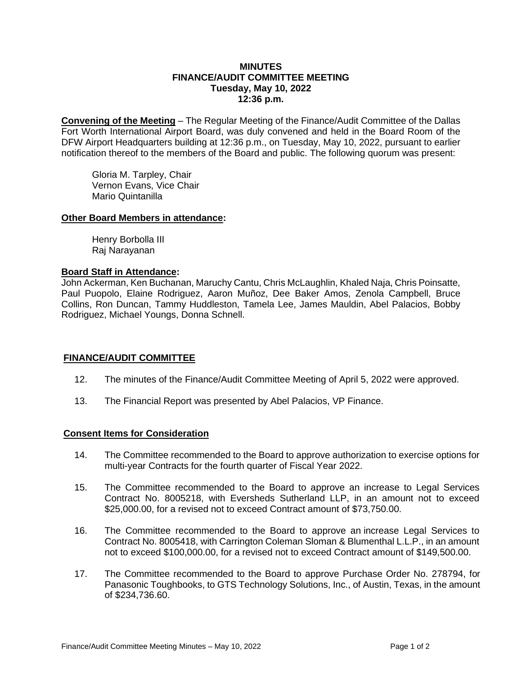### **MINUTES FINANCE/AUDIT COMMITTEE MEETING Tuesday, May 10, 2022 12:36 p.m.**

**Convening of the Meeting** – The Regular Meeting of the Finance/Audit Committee of the Dallas Fort Worth International Airport Board, was duly convened and held in the Board Room of the DFW Airport Headquarters building at 12:36 p.m., on Tuesday, May 10, 2022, pursuant to earlier notification thereof to the members of the Board and public. The following quorum was present:

Gloria M. Tarpley, Chair Vernon Evans, Vice Chair Mario Quintanilla

#### **Other Board Members in attendance:**

Henry Borbolla III Raj Narayanan

#### **Board Staff in Attendance:**

John Ackerman, Ken Buchanan, Maruchy Cantu, Chris McLaughlin, Khaled Naja, Chris Poinsatte, Paul Puopolo, Elaine Rodriguez, Aaron Muñoz, Dee Baker Amos, Zenola Campbell, Bruce Collins, Ron Duncan, Tammy Huddleston, Tamela Lee, James Mauldin, Abel Palacios, Bobby Rodriguez, Michael Youngs, Donna Schnell.

# **FINANCE/AUDIT COMMITTEE**

- 12. The minutes of the Finance/Audit Committee Meeting of April 5, 2022 were approved.
- 13. The Financial Report was presented by Abel Palacios, VP Finance.

# **Consent Items for Consideration**

- 14. The Committee recommended to the Board to approve authorization to exercise options for multi-year Contracts for the fourth quarter of Fiscal Year 2022.
- 15. The Committee recommended to the Board to approve an increase to Legal Services Contract No. 8005218, with Eversheds Sutherland LLP, in an amount not to exceed \$25,000.00, for a revised not to exceed Contract amount of \$73,750.00.
- 16. The Committee recommended to the Board to approve an increase Legal Services to Contract No. 8005418, with Carrington Coleman Sloman & Blumenthal L.L.P., in an amount not to exceed \$100,000.00, for a revised not to exceed Contract amount of \$149,500.00.
- 17. The Committee recommended to the Board to approve Purchase Order No. 278794, for Panasonic Toughbooks, to GTS Technology Solutions, Inc., of Austin, Texas, in the amount of \$234,736.60.